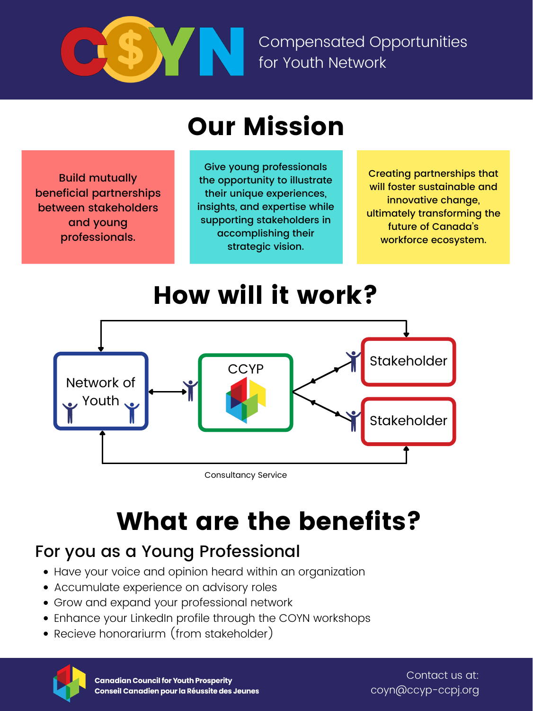Build mutually beneficial partnerships between stakeholders and young professionals.

Stakeholder



Consultancy Service

### Our Mission



Compensated Opportunities for Youth Network

### How will it work?

# What are the benefits?

Contact us at: coyn@ccyp-ccpj.org

- Have your voice and opinion heard within an organization
- Accumulate experience on advisory roles
- Grow and expand your professional network
- Enhance your LinkedIn profile through the COYN workshops
- Recieve honorariurm (from stakeholder)



**Canadian Council for Youth Prosperity** Conseil Canadien pour la Réussite des Jeunes

Creating partnerships that will foster sustainable and innovative change, ultimately transforming the future of Canada 's workforce ecosystem.

Give young professionals the opportunity to illustrate their unique experiences, insights, and expertise while supporting stakeholders in accomplishing their strategic vision.

### For you as a Young Professional